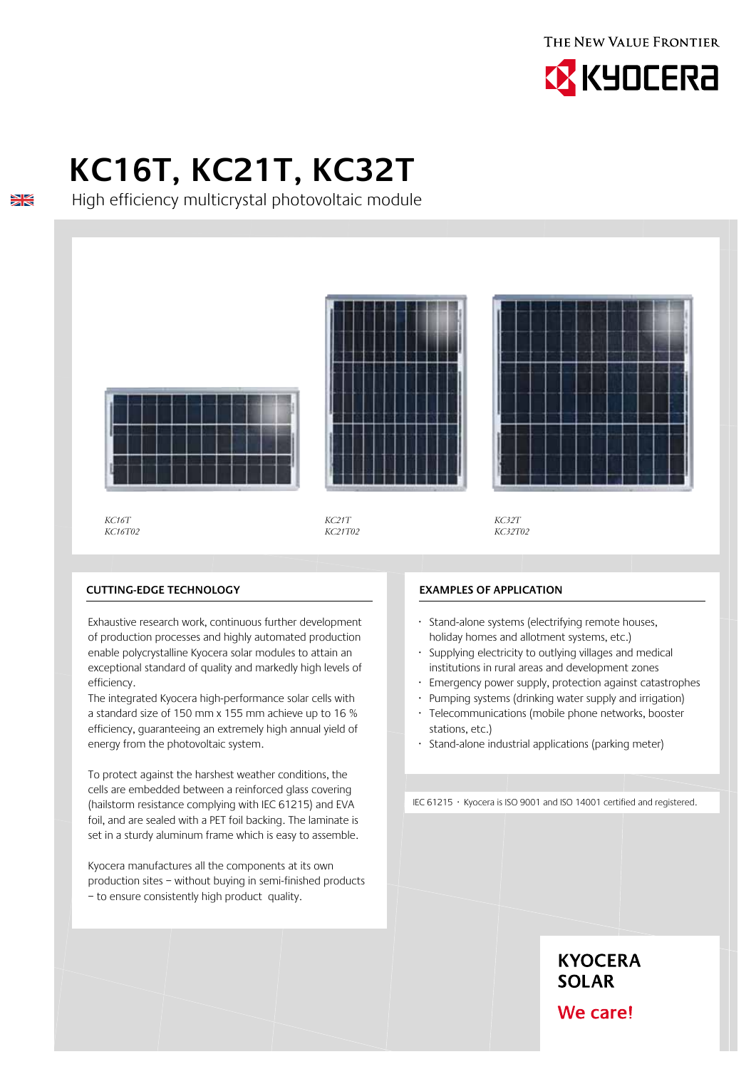THE NEW VALUE FRONTIER



# **KC16T, KC21T, KC32T**

High efficiency multicrystal photovoltaic module



*KC16T KC16T02*

 $\frac{N}{N}$ 

*KC21T KC21T02*

*KC32T KC32T02*

## **Cutting-edge technology**

Exhaustive research work, continuous further development of production processes and highly automated production enable polycrystalline Kyocera solar modules to attain an exceptional standard of quality and markedly high levels of efficiency.

The integrated Kyocera high-performance solar cells with a standard size of 150 mm x 155 mm achieve up to 16 % efficiency, guaranteeing an extremely high annual yield of energy from the photovoltaic system.

To protect against the harshest weather conditions, the cells are embedded between a reinforced glass covering (hailstorm resistance complying with IEC 61215) and EVA foil, and are sealed with a PET foil backing. The laminate is set in a sturdy aluminum frame which is easy to assemble.

Kyocera manufactures all the components at its own production sites – without buying in semi-finished products – to ensure consistently high product quality.

#### **Examples of application**

- · Stand-alone systems (electrifying remote houses, holiday homes and allotment systems, etc.)
- · Supplying electricity to outlying villages and medical institutions in rural areas and development zones
- Emergency power supply, protection against catastrophes
- · Pumping systems (drinking water supply and irrigation)
- Telecommunications (mobile phone networks, booster stations, etc.)
- · Stand-alone industrial applications (parking meter)

IEC 61215 · Kyocera is ISO 9001 and ISO 14001 certified and registered.

**KYOCERA SOLAR** 

We care!